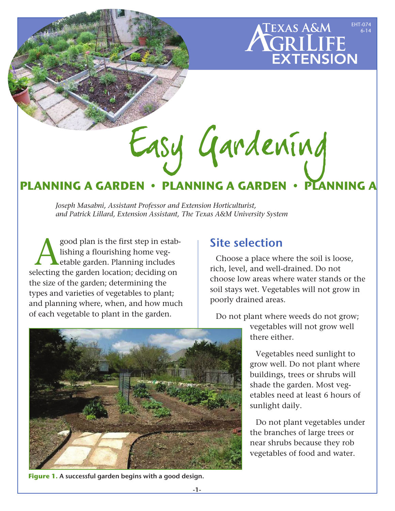## EHT-074 EXAS A&M 6-14**GRILIFE<br>EXTENSION**

# Easy Gardening

# **PLANNING A GARDEN • PLANNING A GARDEN**

*Joseph Masabni, Assistant Professor and Extension Horticulturist, and Patrick Lillard, Extension Assistant, The Texas A&M University System*

good plan is the first step in estab-<br>lishing a flourishing home veg-<br>lecting the garden location: deciding on lishing a flourishing home vegetable garden. Planning includes selecting the garden location; deciding on the size of the garden; determining the types and varieties of vegetables to plant; and planning where, when, and how much of each vegetable to plant in the garden.



Site selection

Choose a place where the soil is loose, rich, level, and well-drained. Do not choose low areas where water stands or the soil stays wet. Vegetables will not grow in poorly drained areas.

Do not plant where weeds do not grow;

vegetables will not grow well there either.

Vegetables need sunlight to grow well. Do not plant where buildings, trees or shrubs will shade the garden. Most vegetables need at least 6 hours of sunlight daily.

Do not plant vegetables under the branches of large trees or near shrubs because they rob vegetables of food and water.

**Figure 1.** A successful garden begins with a good design.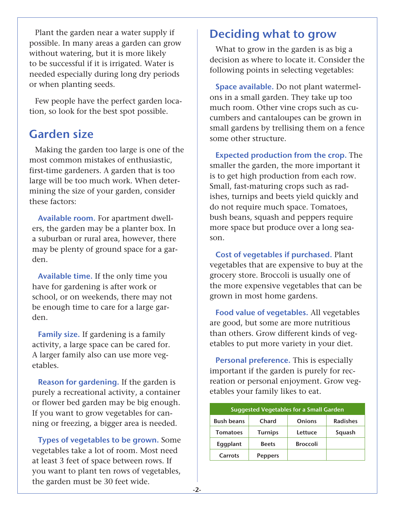Plant the garden near a water supply if possible. In many areas a garden can grow without watering, but it is more likely to be successful if it is irrigated. Water is needed especially during long dry periods or when planting seeds.

Few people have the perfect garden location, so look for the best spot possible.

# Garden size

Making the garden too large is one of the most common mistakes of enthusiastic, first-time gardeners. A garden that is too large will be too much work. When determining the size of your garden, consider these factors:

Available room. For apartment dwellers, the garden may be a planter box. In a suburban or rural area, however, there may be plenty of ground space for a garden.

Available time. If the only time you have for gardening is after work or school, or on weekends, there may not be enough time to care for a large garden.

Family size. If gardening is a family activity, a large space can be cared for. A larger family also can use more vegetables.

Reason for gardening. If the garden is purely a recreational activity, a container or flower bed garden may be big enough. If you want to grow vegetables for canning or freezing, a bigger area is needed.

Types of vegetables to be grown. Some vegetables take a lot of room. Most need at least 3 feet of space between rows. If you want to plant ten rows of vegetables, the garden must be 30 feet wide.

# Deciding what to grow

What to grow in the garden is as big a decision as where to locate it. Consider the following points in selecting vegetables:

Space available. Do not plant watermelons in a small garden. They take up too much room. Other vine crops such as cucumbers and cantaloupes can be grown in small gardens by trellising them on a fence some other structure.

Expected production from the crop. The smaller the garden, the more important it is to get high production from each row. Small, fast-maturing crops such as radishes, turnips and beets yield quickly and do not require much space. Tomatoes, bush beans, squash and peppers require more space but produce over a long season.

Cost of vegetables if purchased. Plant vegetables that are expensive to buy at the grocery store. Broccoli is usually one of the more expensive vegetables that can be grown in most home gardens.

Food value of vegetables. All vegetables are good, but some are more nutritious than others. Grow different kinds of vegetables to put more variety in your diet.

Personal preference. This is especially important if the garden is purely for recreation or personal enjoyment. Grow vegetables your family likes to eat.

| <b>Suggested Vegetables for a Small Garden</b> |                |                 |                 |  |
|------------------------------------------------|----------------|-----------------|-----------------|--|
| <b>Bush beans</b>                              | Chard          | <b>Onions</b>   | <b>Radishes</b> |  |
| <b>Tomatoes</b>                                | <b>Turnips</b> | Lettuce         | Squash          |  |
| Eggplant                                       | <b>Beets</b>   | <b>Broccoli</b> |                 |  |
| Carrots                                        | <b>Peppers</b> |                 |                 |  |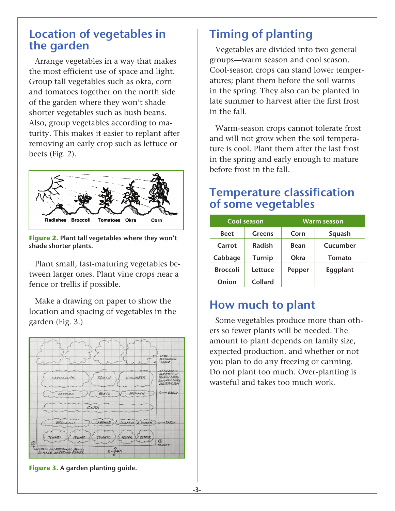# Location of vegetables in the garden

Arrange vegetables in a way that makes the most efficient use of space and light. Group tall vegetables such as okra, corn and tomatoes together on the north side of the garden where they won't shade shorter vegetables such as bush beans. Also, group vegetables according to maturity. This makes it easier to replant after removing an early crop such as lettuce or beets (Fig. 2).



**Figure 2.** Plant tall vegetables where they won't shade shorter plants.

Plant small, fast-maturing vegetables between larger ones. Plant vine crops near a fence or trellis if possible.

Make a drawing on paper to show the location and spacing of vegetables in the garden (Fig. 3.)



**Figure 3.** A garden planting guide.

# Timing of planting

Vegetables are divided into two general groups—warm season and cool season. Cool-season crops can stand lower temperatures; plant them before the soil warms in the spring. They also can be planted in late summer to harvest after the first frost in the fall.

Warm-season crops cannot tolerate frost and will not grow when the soil temperature is cool. Plant them after the last frost in the spring and early enough to mature before frost in the fall.

# Temperature classification of some vegetables

| <b>Cool season</b> |               | <b>Warm season</b> |               |
|--------------------|---------------|--------------------|---------------|
| <b>Beet</b>        | <b>Greens</b> | Corn               | Squash        |
| Carrot             | Radish        | Bean               | Cucumber      |
| Cabbage            | <b>Turnip</b> | Okra               | <b>Tomato</b> |
| <b>Broccoli</b>    | Lettuce       | Pepper             | Eggplant      |
| Onion              | Collard       |                    |               |

# How much to plant

Some vegetables produce more than others so fewer plants will be needed. The amount to plant depends on family size, expected production, and whether or not you plan to do any freezing or canning. Do not plant too much. Over-planting is wasteful and takes too much work.